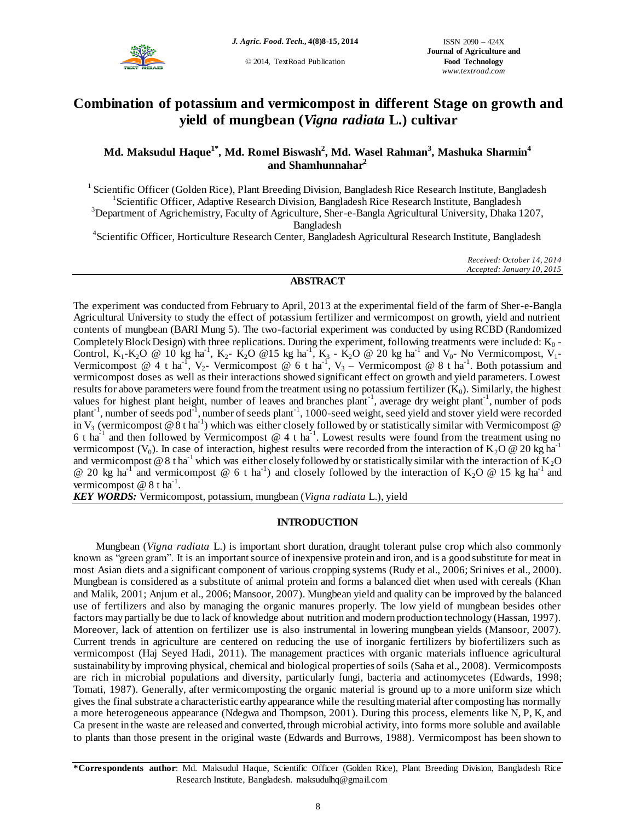

© 2014, TextRoad Publication

# **Combination of potassium and vermicompost in different Stage on growth and yield of mungbean (***Vigna radiata* **L.) cultivar**

# **Md. Maksudul Haque1\* , Md. Romel Biswash<sup>2</sup> , Md. Wasel Rahman<sup>3</sup> , Mashuka Sharmin<sup>4</sup> and Shamhunnahar<sup>2</sup>**

<sup>1</sup> Scientific Officer (Golden Rice), Plant Breeding Division, Bangladesh Rice Research Institute, Bangladesh <sup>1</sup> Scientific Officer, Adaptive Research Division, Bangladesh Rice Research Institute, Bangladesh <sup>3</sup>Department of Agrichemistry, Faculty of Agriculture, Sher-e-Bangla Agricultural University, Dhaka 1207, Bangladesh

4 Scientific Officer, Horticulture Research Center, Bangladesh Agricultural Research Institute, Bangladesh

*Received: October 14, 2014 Accepted: January 10, 2015*

# **ABSTRACT**

The experiment was conducted from February to April, 2013 at the experimental field of the farm of Sher-e-Bangla Agricultural University to study the effect of potassium fertilizer and vermicompost on growth, yield and nutrient contents of mungbean (BARI Mung 5). The two-factorial experiment was conducted by using RCBD (Randomized Completely Block Design) with three replications. During the experiment, following treatments were included:  $K_0$  -Control,  $K_1-K_2O \cong 10$  kg ha<sup>-1</sup>,  $K_2$ -  $K_2O \otimes 15$  kg ha<sup>-1</sup>,  $K_3$ -  $K_2O \otimes 20$  kg ha<sup>-1</sup> and  $V_0$ - No Vermicompost,  $V_1$ -Vermicompost @ 4 t ha<sup>-1</sup>, V<sub>2</sub>- Vermicompost @ 6 t ha<sup>-1</sup>, V<sub>3</sub> – Vermicompost @ 8 t ha<sup>-1</sup>. Both potassium and vermicompost doses as well as their interactions showed significant effect on growth and yield parameters. Lowest results for above parameters were found from the treatment using no potassium fertilizer  $(K_0)$ . Similarly, the highest values for highest plant height, number of leaves and branches plant<sup>-1</sup>, average dry weight plant<sup>-1</sup>, number of pods plant<sup>-1</sup>, number of seeds pod<sup>-1</sup>, number of seeds plant<sup>-1</sup>, 1000-seed weight, seed yield and stover yield were recorded in V<sub>3</sub> (vermicompost  $@8$  t ha<sup>-1</sup>) which was either closely followed by or statistically similar with Vermicompost  $@$ 6 t ha<sup>-1</sup> and then followed by Vermicompost  $@$  4 t ha<sup>-1</sup>. Lowest results were found from the treatment using no vermicompost ( $V_0$ ). In case of interaction, highest results were recorded from the interaction of  $K_2O$  @ 20 kg ha<sup>-1</sup> and vermicompost @ 8 t ha<sup>-1</sup> which was either closely followed by or statistically similar with the interaction of  $K_2O$ @ 20 kg ha<sup>-1</sup> and vermicompost @ 6 t ha<sup>-1</sup>) and closely followed by the interaction of K<sub>2</sub>O @ 15 kg ha<sup>-1</sup> and vermicompost  $@$  8 t ha<sup>-1</sup>.

*KEY WORDS:* Vermicompost, potassium, mungbean (*Vigna radiata* L.), yield

# **INTRODUCTION**

Mungbean (*Vigna radiata* L.) is important short duration, draught tolerant pulse crop which also commonly known as "green gram". It is an important source of inexpensive protein and iron, and is a good substitute for meat in most Asian diets and a significant component of various cropping systems (Rudy et al., 2006; Srinives et al., 2000). Mungbean is considered as a substitute of animal protein and forms a balanced diet when used with cereals (Khan and Malik, 2001; Anjum et al., 2006; Mansoor, 2007). Mungbean yield and quality can be improved by the balanced use of fertilizers and also by managing the organic manures properly. The low yield of mungbean besides other factors may partially be due to lack of knowledge about nutrition and modern production technology (Hassan, 1997). Moreover, lack of attention on fertilizer use is also instrumental in lowering mungbean yields (Mansoor, 2007). Current trends in agriculture are centered on reducing the use of inorganic fertilizers by biofertilizers such as vermicompost (Haj Seyed Hadi, 2011). The management practices with organic materials influence agricultural sustainability by improving physical, chemical and biological properties of soils (Saha et al., 2008). Vermicomposts are rich in microbial populations and diversity, particularly fungi, bacteria and actinomycetes (Edwards, 1998; Tomati, 1987). Generally, after vermicomposting the organic material is ground up to a more uniform size which gives the final substrate a characteristic earthy appearance while the resulting material after composting has normally a more heterogeneous appearance (Ndegwa and Thompson, 2001). During this process, elements like N, P, K, and Ca present in the waste are released and converted, through microbial activity, into forms more soluble and available to plants than those present in the original waste (Edwards and Burrows, 1988). Vermicompost has been shown to

**\*Correspondents author**: Md. Maksudul Haque, Scientific Officer (Golden Rice), Plant Breeding Division, Bangladesh Rice Research Institute, Bangladesh. maksudulhq@gmail.com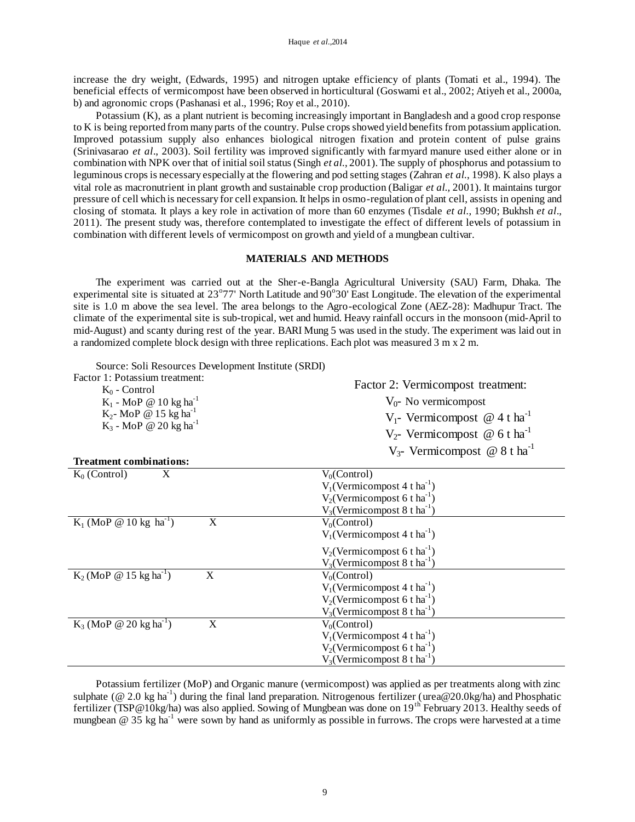increase the dry weight, (Edwards, 1995) and nitrogen uptake efficiency of plants (Tomati et al., 1994). The beneficial effects of vermicompost have been observed in horticultural (Goswami et al., 2002; Atiyeh et al., 2000a, b) and agronomic crops (Pashanasi et al., 1996; Roy et al., 2010).

Potassium (K), as a plant nutrient is becoming increasingly important in Bangladesh and a good crop response to K is being reported from many parts of the country. Pulse crops showed yield benefits from potassium application. Improved potassium supply also enhances biological nitrogen fixation and protein content of pulse grains (Srinivasarao *et al*., 2003). Soil fertility was improved significantly with farmyard manure used either alone or in combination with NPK over that of initial soil status (Singh *et al.*, 2001). The supply of phosphorus and potassium to leguminous crops is necessary especially at the flowering and pod setting stages (Zahran *et al.*, 1998). K also plays a vital role as macronutrient in plant growth and sustainable crop production (Baligar *et al.,* 2001). It maintains turgor pressure of cell which is necessary for cell expansion. It helps in osmo-regulation of plant cell, assists in opening and closing of stomata. It plays a key role in activation of more than 60 enzymes (Tisdale *et al.*, 1990; Bukhsh *et al*., 2011). The present study was, therefore contemplated to investigate the effect of different levels of potassium in combination with different levels of vermicompost on growth and yield of a mungbean cultivar.

### **MATERIALS AND METHODS**

The experiment was carried out at the Sher-e-Bangla Agricultural University (SAU) Farm, Dhaka. The experimental site is situated at 23°77' North Latitude and 90°30' East Longitude. The elevation of the experimental site is 1.0 m above the sea level. The area belongs to the Agro-ecological Zone (AEZ-28): Madhupur Tract. The climate of the experimental site is sub-tropical, wet and humid. Heavy rainfall occurs in the monsoon (mid-April to mid-August) and scanty during rest of the year. BARI Mung 5 was used in the study. The experiment was laid out in a randomized complete block design with three replications. Each plot was measured 3 m x 2 m.

Source: Soli Resources Development Institute (SRDI)

| Factor 1: Potassium treatment:<br>$K_0$ - Control | Factor 2: Vermicompost treatment:<br>$V_0$ - No vermicompost |  |  |  |  |  |
|---------------------------------------------------|--------------------------------------------------------------|--|--|--|--|--|
| $K_1$ - MoP @ 10 kg ha <sup>-1</sup>              |                                                              |  |  |  |  |  |
| $K_2$ - MoP @ 15 kg ha <sup>-1</sup>              | $V_1$ - Vermicompost @ 4 t ha <sup>-1</sup>                  |  |  |  |  |  |
| $K_3$ - MoP @ 20 $kg$ ha <sup>-1</sup>            | $V_2$ - Vermicompost @ 6 t ha <sup>-1</sup>                  |  |  |  |  |  |
|                                                   | $V_{3}$ - Vermicompost @ 8 t ha <sup>-1</sup>                |  |  |  |  |  |
| <b>Treatment combinations:</b>                    |                                                              |  |  |  |  |  |
| $K_0$ (Control)<br>X                              | $V_0$ (Control)                                              |  |  |  |  |  |
|                                                   | $V_1$ (Vermicompost 4 t ha <sup>-1</sup> )                   |  |  |  |  |  |
|                                                   | $V_2$ (Vermicompost 6 t ha <sup>-1</sup> )                   |  |  |  |  |  |
|                                                   | $V_3$ (Vermicompost 8 t ha <sup>-1</sup> )                   |  |  |  |  |  |
| $K_1$ (MoP @ 10 kg ha <sup>-1</sup> )<br>X        | $V_0$ (Control)                                              |  |  |  |  |  |
|                                                   | $V_1$ (Vermicompost 4 t ha <sup>-1</sup> )                   |  |  |  |  |  |
|                                                   | $V_2$ (Vermicompost 6 t ha <sup>-1</sup> )                   |  |  |  |  |  |
|                                                   | $V_3$ (Vermicompost 8 t ha <sup>-1</sup> )                   |  |  |  |  |  |
| $K_2$ (MoP @ 15 kg ha <sup>-1</sup> )<br>X        | $V_0$ (Control)                                              |  |  |  |  |  |
|                                                   | $V_1$ (Vermicompost 4 t ha <sup>-1</sup> )                   |  |  |  |  |  |
|                                                   | $V_2$ (Vermicompost 6 t ha <sup>-1</sup> )                   |  |  |  |  |  |
|                                                   | $V_3$ (Vermicompost 8 t ha <sup>-1</sup> )                   |  |  |  |  |  |
| $K_3$ (MoP @ 20 kg ha <sup>-1</sup> )<br>X        | $V_0$ (Control)                                              |  |  |  |  |  |
|                                                   | $V_1$ (Vermicompost 4 t ha <sup>-1</sup> )                   |  |  |  |  |  |
|                                                   | $V_2$ (Vermicompost 6 t ha <sup>-1</sup> )                   |  |  |  |  |  |
|                                                   | $V_3$ (Vermicompost 8 t ha <sup>-1</sup> )                   |  |  |  |  |  |
|                                                   |                                                              |  |  |  |  |  |

Potassium fertilizer (MoP) and Organic manure (vermicompost) was applied as per treatments along with zinc sulphate ( $@ 2.0 \text{ kg} \text{ ha}^{-1}$ ) during the final land preparation. Nitrogenous fertilizer (urea $@ 20.0 \text{ kg/ha}$ ) and Phosphatic fertilizer (TSP@10kg/ha) was also applied. Sowing of Mungbean was done on 19<sup>th</sup> February 2013. Healthy seeds of mungbean  $\omega$  35 kg ha<sup>-1</sup> were sown by hand as uniformly as possible in furrows. The crops were harvested at a time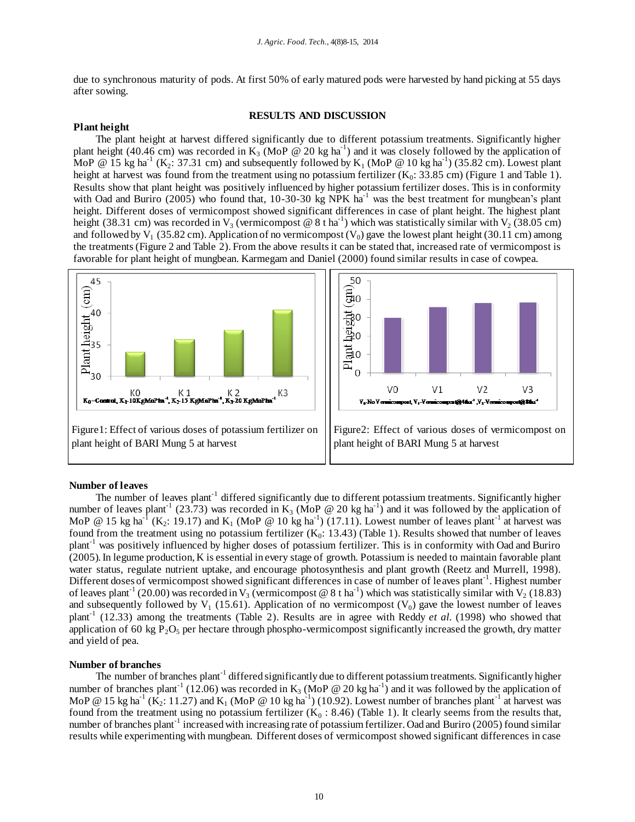due to synchronous maturity of pods. At first 50% of early matured pods were harvested by hand picking at 55 days after sowing.

# **RESULTS AND DISCUSSION**

#### **Plant height**

The plant height at harvest differed significantly due to different potassium treatments. Significantly higher plant height (40.46 cm) was recorded in  $K_3$  (MoP @ 20 kg ha<sup>-1</sup>) and it was closely followed by the application of MoP @ 15 kg ha<sup>-1</sup> (K<sub>2</sub>: 37.31 cm) and subsequently followed by K<sub>1</sub> (MoP @ 10 kg ha<sup>-1</sup>) (35.82 cm). Lowest plant height at harvest was found from the treatment using no potassium fertilizer  $(K_0: 33.85 \text{ cm})$  (Figure 1 and Table 1). Results show that plant height was positively influenced by higher potassium fertilizer doses. This is in conformity with Oad and Buriro (2005) who found that,  $10-30-30$  kg NPK ha<sup>-1</sup> was the best treatment for mungbean's plant height. Different doses of vermicompost showed significant differences in case of plant height. The highest plant height (38.31 cm) was recorded in  $V_3$  (vermicompost @ 8 t ha<sup>-1</sup>) which was statistically similar with  $V_2$  (38.05 cm) and followed by  $V_1$  (35.82 cm). Application of no vermicompost ( $V_0$ ) gave the lowest plant height (30.11 cm) among the treatments (Figure 2 and Table 2). From the above results it can be stated that, increased rate of vermicompost is favorable for plant height of mungbean. Karmegam and Daniel (2000) found similar results in case of cowpea.



#### **Number of leaves**

The number of leaves plant<sup>-1</sup> differed significantly due to different potassium treatments. Significantly higher number of leaves plant<sup>-1</sup> (23.73) was recorded in K<sub>3</sub> (MoP @ 20 kg ha<sup>-1</sup>) and it was followed by the application of MoP @ 15 kg ha<sup>-1</sup> (K<sub>2</sub>: 19.17) and K<sub>1</sub> (MoP @ 10 kg ha<sup>-1</sup>) (17.11). Lowest number of leaves plant<sup>-1</sup> at harvest was found from the treatment using no potassium fertilizer  $(K_0: 13.43)$  (Table 1). Results showed that number of leaves plant-1 was positively influenced by higher doses of potassium fertilizer. This is in conformity with Oad and Buriro (2005). In legume production, K is essential in every stage of growth. Potassium is needed to maintain favorable plant water status, regulate nutrient uptake, and encourage photosynthesis and plant growth (Reetz and Murrell, 1998). Different doses of vermicompost showed significant differences in case of number of leaves plant<sup>-1</sup>. Highest number of leaves plant<sup>-1</sup> (20.00) was recorded in V<sub>3</sub> (vermicompost @ 8 t ha<sup>-1</sup>) which was statistically similar with V<sub>2</sub> (18.83) and subsequently followed by  $V_1$  (15.61). Application of no vermicompost  $(V_0)$  gave the lowest number of leaves plant<sup>-1</sup> (12.33) among the treatments (Table 2). Results are in agree with Reddy *et al.* (1998) who showed that application of 60 kg  $P_2O_5$  per hectare through phospho-vermicompost significantly increased the growth, dry matter and yield of pea.

#### **Number of branches**

The number of branches plant<sup>-1</sup> differed significantly due to different potassium treatments. Significantly higher number of branches plant<sup>-1</sup> (12.06) was recorded in K<sub>3</sub> (MoP @ 20 kg ha<sup>-1</sup>) and it was followed by the application of MoP @ 15 kg ha<sup>-1</sup> (K<sub>2</sub>: 11.27) and K<sub>1</sub> (MoP @ 10 kg ha<sup>-1</sup>) (10.92). Lowest number of branches plant<sup>-1</sup> at harvest was found from the treatment using no potassium fertilizer  $(K_0: 8.46)$  (Table 1). It clearly seems from the results that, number of branches plant<sup>-1</sup> increased with increasing rate of potassium fertilizer. Oad and Buriro (2005) found similar results while experimenting with mungbean. Different doses of vermicompost showed significant differences in case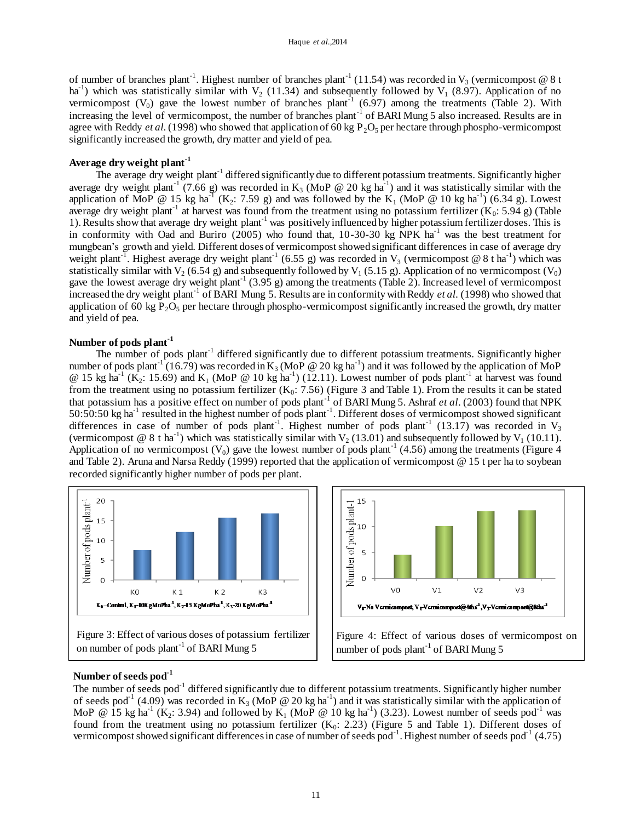of number of branches plant<sup>-1</sup>. Highest number of branches plant<sup>-1</sup> (11.54) was recorded in  $V_3$  (vermicompost @ 8 t ha<sup>-1</sup>) which was statistically similar with  $V_2$  (11.34) and subsequently followed by  $V_1$  (8.97). Application of no vermicompost  $(V_0)$  gave the lowest number of branches plant<sup>-1</sup> (6.97) among the treatments (Table 2). With increasing the level of vermicompost, the number of branches plant<sup>-1</sup> of BARI Mung 5 also increased. Results are in agree with Reddy *et al.* (1998) who showed that application of 60 kg  $P_2O_5$  per hectare through phospho-vermicompost significantly increased the growth, dry matter and yield of pea.

# **Average dry weight plant-1**

The average dry weight plant<sup>-1</sup> differed significantly due to different potassium treatments. Significantly higher average dry weight plant<sup>-1</sup> (7.66 g) was recorded in K<sub>3</sub> (MoP @ 20 kg ha<sup>-1</sup>) and it was statistically similar with the application of MoP @ 15 kg ha<sup>-1</sup> (K<sub>2</sub>: 7.59 g) and was followed by the K<sub>1</sub> (MoP @ 10 kg ha<sup>-1</sup>) (6.34 g). Lowest average dry weight plant<sup>-1</sup> at harvest was found from the treatment using no potassium fertilizer  $(K_0: 5.94 \text{ g})$  (Table 1). Results show that average dry weight plant<sup>-1</sup> was positively influenced by higher potassium fertilizer doses. This is in conformity with Oad and Buriro (2005) who found that,  $10-30-30$  kg NPK ha<sup>-1</sup> was the best treatment for mungbean's growth and yield. Different doses of vermicompost showed significant differences in case of average dry weight plant<sup>-1</sup>. Highest average dry weight plant<sup>-1</sup> (6.55 g) was recorded in V<sub>3</sub> (vermicompost @ 8 t ha<sup>-1</sup>) which was statistically similar with  $V_2$  (6.54 g) and subsequently followed by  $V_1$  (5.15 g). Application of no vermicompost ( $V_0$ ) gave the lowest average dry weight plant<sup>-1</sup> (3.95 g) among the treatments (Table 2). Increased level of vermicompost increased the dry weight plant-1 of BARI Mung 5. Results are in conformity with Reddy *et al.* (1998) who showed that application of 60 kg  $P_2O_5$  per hectare through phospho-vermicompost significantly increased the growth, dry matter and yield of pea.

### **Number of pods plant-1**

The number of pods plant<sup>-1</sup> differed significantly due to different potassium treatments. Significantly higher number of pods plant<sup>-1</sup> (16.79) was recorded in K<sub>3</sub> (MoP @ 20 kg ha<sup>-1</sup>) and it was followed by the application of MoP @ 15 kg ha<sup>-1</sup> (K<sub>2</sub>: 15.69) and K<sub>1</sub> (MoP @ 10 kg ha<sup>-1</sup>) (12.11). Lowest number of pods plant<sup>-1</sup> at harvest was found from the treatment using no potassium fertilizer  $(K_0: 7.56)$  (Figure 3 and Table 1). From the results it can be stated that potassium has a positive effect on number of pods plant<sup>-1</sup> of BARI Mung 5. Ashraf *et al.* (2003) found that NPK 50:50:50 kg ha<sup>-1</sup> resulted in the highest number of pods plant<sup>-1</sup>. Different doses of vermicompost showed significant differences in case of number of pods plant<sup>-1</sup>. Highest number of pods plant<sup>-1</sup> (13.17) was recorded in V<sub>3</sub> (vermicompost @ 8 t ha<sup>-1</sup>) which was statistically similar with  $V_2$  (13.01) and subsequently followed by  $V_1$  (10.11). Application of no vermicompost  $(V_0)$  gave the lowest number of pods plant<sup>-1</sup> (4.56) among the treatments (Figure 4 and Table 2). Aruna and Narsa Reddy (1999) reported that the application of vermicompost @ 15 t per ha to soybean recorded significantly higher number of pods per plant.





#### **Number of seeds pod-1**

The number of seeds pod<sup>-1</sup> differed significantly due to different potassium treatments. Significantly higher number of seeds pod<sup>-1</sup> (4.09) was recorded in  $K_3$  (MoP @ 20 kg ha<sup>-1</sup>) and it was statistically similar with the application of MoP @ 15 kg ha<sup>-1</sup> (K<sub>2</sub>: 3.94) and followed by K<sub>1</sub> (MoP @ 10 kg ha<sup>-1</sup>) (3.23). Lowest number of seeds pod<sup>-1</sup> was found from the treatment using no potassium fertilizer  $(K_0: 2.23)$  (Figure 5 and Table 1). Different doses of vermicompost showed significant differences in case of number of seeds pod<sup>-1</sup>. Highest number of seeds pod<sup>-1</sup> (4.75)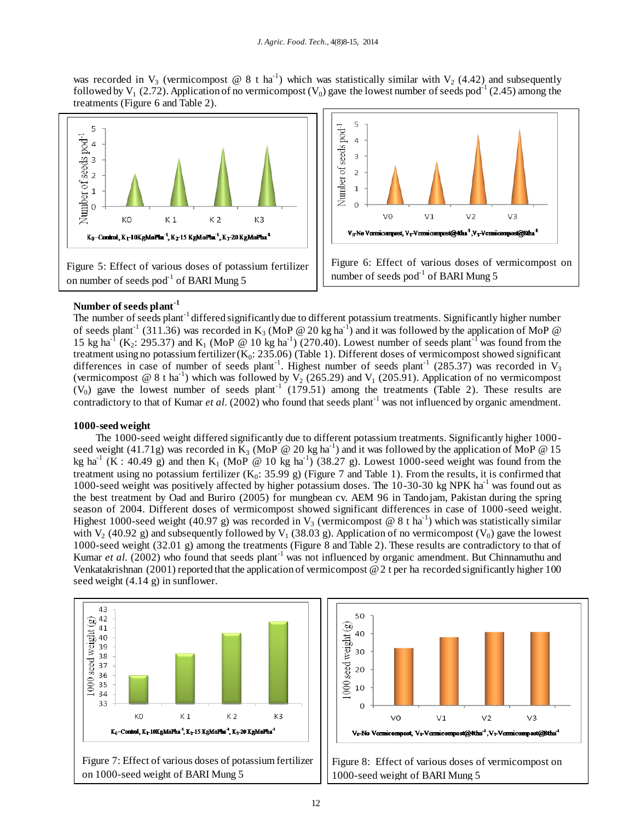was recorded in  $V_3$  (vermicompost @ 8 t ha<sup>-1</sup>) which was statistically similar with  $V_2$  (4.42) and subsequently followed by  $V_1$  (2.72). Application of no vermicompost ( $V_0$ ) gave the lowest number of seeds pod<sup>-1</sup> (2.45) among the treatments (Figure 6 and Table 2).





## **Number of seeds plant-1**

The number of seeds plant<sup>-1</sup> differed significantly due to different potassium treatments. Significantly higher number of seeds plant<sup>-1</sup> (311.36) was recorded in K<sub>3</sub> (MoP @ 20 kg ha<sup>-1</sup>) and it was followed by the application of MoP @ 15 kg ha<sup>-1</sup> (K<sub>2</sub>: 295.37) and K<sub>1</sub> (MoP @ 10 kg ha<sup>-1</sup>) (270.40). Lowest number of seeds plant<sup>-1</sup> was found from the treatment using no potassium fertilizer  $(K_0: 235.06)$  (Table 1). Different doses of vermicompost showed significant differences in case of number of seeds plant<sup>-1</sup>. Highest number of seeds plant<sup>-1</sup> (285.37) was recorded in V<sub>3</sub> (vermicompost @ 8 t ha<sup>-1</sup>) which was followed by  $V_2$  (265.29) and  $V_1$  (205.91). Application of no vermicompost  $(V_0)$  gave the lowest number of seeds plant<sup>-1</sup> (179.51) among the treatments (Table 2). These results are contradictory to that of Kumar *et al.* (2002) who found that seeds plant<sup>-1</sup> was not influenced by organic amendment.

#### **1000-seed weight**

The 1000-seed weight differed significantly due to different potassium treatments. Significantly higher 1000 seed weight (41.71g) was recorded in  $\overline{K}_3$  (MoP @ 20 kg ha<sup>-1</sup>) and it was followed by the application of MoP @ 15 kg ha<sup>-1</sup> (K : 40.49 g) and then K<sub>1</sub> (MoP @ 10 kg ha<sup>-1</sup>) (38.27 g). Lowest 1000-seed weight was found from the treatment using no potassium fertilizer  $(K_0: 35.99 g)$  (Figure 7 and Table 1). From the results, it is confirmed that 1000-seed weight was positively affected by higher potassium doses. The  $10-30-30$  kg NPK ha<sup>-1</sup> was found out as the best treatment by Oad and Buriro (2005) for mungbean cv. AEM 96 in Tandojam, Pakistan during the spring season of 2004. Different doses of vermicompost showed significant differences in case of 1000-seed weight. Highest 1000-seed weight (40.97 g) was recorded in  $V_3$  (vermicompost @ 8 t ha<sup>-1</sup>) which was statistically similar with  $V_2$  (40.92 g) and subsequently followed by  $V_1$  (38.03 g). Application of no vermicompost ( $V_0$ ) gave the lowest 1000-seed weight (32.01 g) among the treatments (Figure 8 and Table 2). These results are contradictory to that of Kumar *et al.* (2002) who found that seeds plant<sup>-1</sup> was not influenced by organic amendment. But Chinnamuthu and Venkatakrishnan (2001) reported that the application of vermicompost @ 2 t per ha recorded significantly higher 100 seed weight (4.14 g) in sunflower.



Figure 7: Effect of various doses of potassium fertilizer on 1000-seed weight of BARI Mung 5



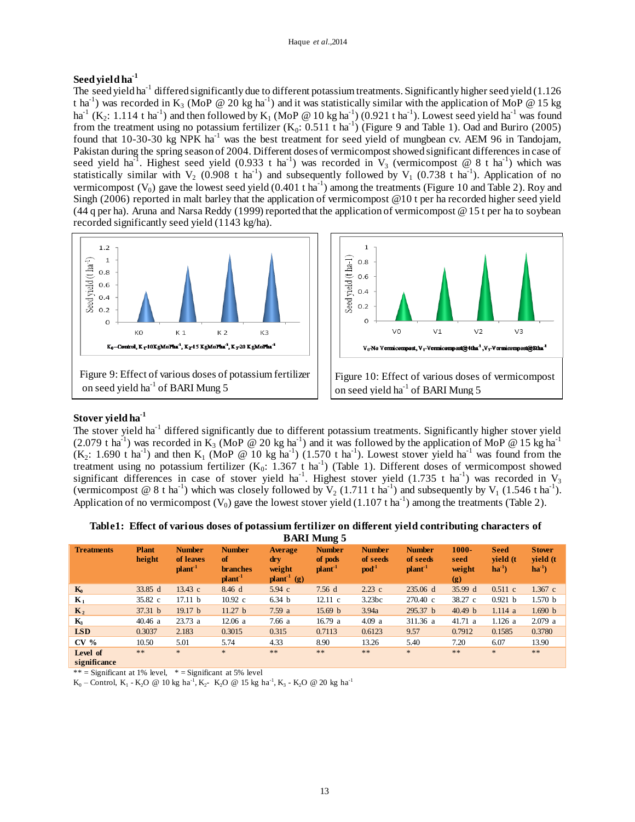# **Seed yield ha -1**

The seed yield ha<sup>-1</sup> differed significantly due to different potassium treatments. Significantly higher seed yield (1.126) t ha<sup>-1</sup>) was recorded in K<sub>3</sub> (MoP @ 20 kg ha<sup>-1</sup>) and it was statistically similar with the application of MoP @ 15 kg ha<sup>-1</sup> (K<sub>2</sub>: 1.114 t ha<sup>-1</sup>) and then followed by K<sub>1</sub> (MoP @ 10 kg ha<sup>-1</sup>) (0.921 t ha<sup>-1</sup>). Lowest seed yield ha<sup>-1</sup> was found from the treatment using no potassium fertilizer  $(K_0: 0.511 \text{ t ha}^{-1})$  (Figure 9 and Table 1). Oad and Buriro (2005) found that 10-30-30 kg NPK ha-1 was the best treatment for seed yield of mungbean cv. AEM 96 in Tandojam, Pakistan during the spring season of 2004. Different doses of vermicompost showed significant differences in case of seed yield ha<sup>-1</sup>. Highest seed yield (0.933 t ha<sup>-1</sup>) was recorded in V<sub>3</sub> (vermicompost @ 8 t ha<sup>-1</sup>) which was statistically similar with  $V_2$  (0.908 t ha<sup>-1</sup>) and subsequently followed by  $V_1$  (0.738 t ha<sup>-1</sup>). Application of no vermicompost  $(V_0)$  gave the lowest seed yield  $(0.401 \text{ t ha}^{-1})$  among the treatments (Figure 10 and Table 2). Roy and Singh (2006) reported in malt barley that the application of vermicompost @10 t per ha recorded higher seed yield (44 q per ha). Aruna and Narsa Reddy (1999) reported that the application of vermicompost @ 15 t per ha to soybean recorded significantly seed yield (1143 kg/ha).





# **Stover yield ha-1**

The stover yield ha<sup>-1</sup> differed significantly due to different potassium treatments. Significantly higher stover yield (2.079 t ha<sup>-1</sup>) was recorded in  $\tilde{K_3}$  (MoP @ 20 kg ha<sup>-1</sup>) and it was followed by the application of MoP @ 15 kg ha<sup>-1</sup>  $(K_2: 1.690$  t ha<sup>-1</sup>) and then  $K_1$  (MoP @ 10 kg ha<sup>-1</sup>) (1.570 t ha<sup>-1</sup>). Lowest stover yield ha<sup>-1</sup> was found from the treatment using no potassium fertilizer  $(K_0: 1.367 \t{t} \text{ ha}^{-1})$  (Table 1). Different doses of vermicompost showed significant differences in case of stover yield ha<sup>-1</sup>. Highest stover yield (1.735 t ha<sup>-1</sup>) was recorded in  $V_3$ (vermicompost @ 8 t ha<sup>-1</sup>) which was closely followed by  $V_2$  (1.711 t ha<sup>-1</sup>) and subsequently by  $V_1$  (1.546 t ha<sup>-1</sup>). Application of no vermicompost ( $V_0$ ) gave the lowest stover yield (1.107 t ha<sup>-1</sup>) among the treatments (Table 2).

| Table1: Effect of various doses of potassium fertilizer on different yield contributing characters of |                    |  |  |
|-------------------------------------------------------------------------------------------------------|--------------------|--|--|
|                                                                                                       | <b>BARI Mung 5</b> |  |  |

| $\frac{1}{2}$            |                        |                                                 |                                                               |                                                                        |                                               |                                               |                                       |                                   |                                      |                                        |
|--------------------------|------------------------|-------------------------------------------------|---------------------------------------------------------------|------------------------------------------------------------------------|-----------------------------------------------|-----------------------------------------------|---------------------------------------|-----------------------------------|--------------------------------------|----------------------------------------|
| <b>Treatments</b>        | <b>Plant</b><br>height | <b>Number</b><br>of leaves<br>plan <sup>1</sup> | <b>Number</b><br><sub>of</sub><br><b>branches</b><br>$plan-1$ | <b>Average</b><br>$drv$<br>weight<br>$\mathbf{plant}^{-1}(\mathbf{g})$ | <b>Number</b><br>of pods<br>plan <sup>1</sup> | <b>Number</b><br>of seeds<br>$\mathbf{pod}^1$ | <b>Number</b><br>of seeds<br>$plan-1$ | $1000 -$<br>seed<br>weight<br>(g) | <b>Seed</b><br>vield (t<br>$ha^{-1}$ | <b>Stover</b><br>yield (t<br>$ha^{-1}$ |
| $K_0$                    | 33.85 d                | 13.43 c                                         | 8.46 d                                                        | $5.94\text{ c}$                                                        | 7.56d                                         | $2.23$ c                                      | 235.06 d                              | 35.99 d                           | 0.511 c                              | $1.367$ c                              |
| $\mathbf{K}_1$           | 35.82 c                | 17.11 b                                         | $10.92 \text{ c}$                                             | 6.34 <sub>b</sub>                                                      | 12.11 c                                       | 3.23bc                                        | $270.40 \text{ c}$                    | 38.27 c                           | 0.921 b                              | 1.570 b                                |
| $K_2$                    | 37.31 b                | 19.17 <sub>b</sub>                              | 11.27 <sub>b</sub>                                            | 7.59a                                                                  | 15.69 <sub>b</sub>                            | 3.94a                                         | 295.37 <sub>b</sub>                   | 40.49 <sub>b</sub>                | 1.114a                               | 1.690 b                                |
| $K_3$                    | 40.46 a                | 23.73a                                          | 12.06a                                                        | 7.66a                                                                  | 16.79a                                        | 4.09a                                         | 311.36 a                              | 41.71 a                           | $1.126$ a                            | 2.079a                                 |
| <b>LSD</b>               | 0.3037                 | 2.183                                           | 0.3015                                                        | 0.315                                                                  | 0.7113                                        | 0.6123                                        | 9.57                                  | 0.7912                            | 0.1585                               | 0.3780                                 |
| CV <sub>0</sub>          | 10.50                  | 5.01                                            | 5.74                                                          | 4.33                                                                   | 8.90                                          | 13.26                                         | 5.40                                  | 7.20                              | 6.07                                 | 13.90                                  |
| Level of<br>significance | $* *$                  | $\ast$                                          | $\ast$                                                        | $* *$                                                                  | **                                            | $* *$                                         | $*$                                   | $* *$                             | $\ast$                               | **                                     |

\*\* = Significant at 1% level,  $*$  = Significant at 5% level

 $K_0$  – Control,  $K_1$  -  $K_2O$  @ 10 kg ha<sup>-1</sup>,  $K_2$ -  $K_2O$  @ 15 kg ha<sup>-1</sup>,  $K_3$  -  $K_2O$  @ 20 kg ha<sup>-1</sup>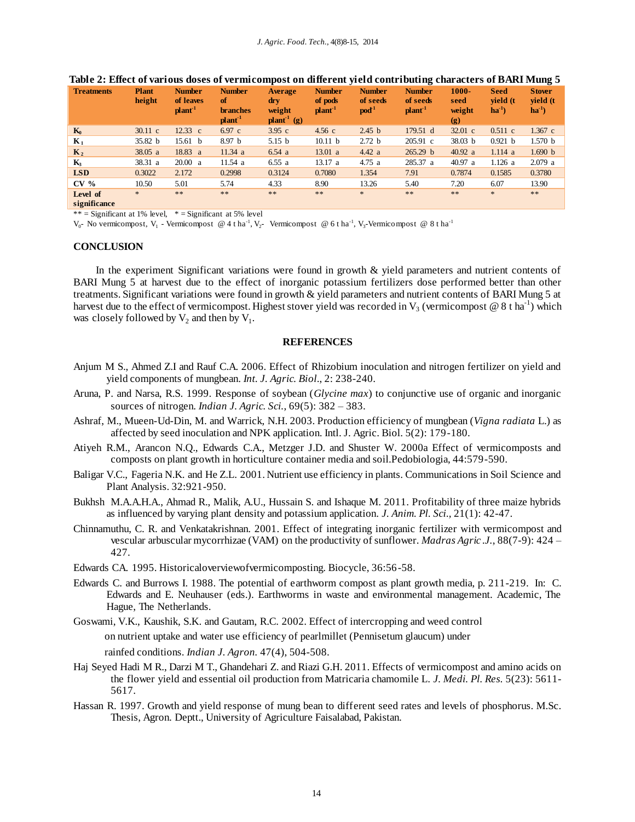| <b>Treatments</b>        | <b>Plant</b><br>height | <b>Number</b><br>of leaves<br>$plant-1$ | <b>Number</b><br><sub>of</sub><br><b>branches</b><br>plant <sup>-1</sup> | Average<br>$drv$<br>weight<br>$\mathbf{plant}^1$ (g) | <b>Number</b><br>of pods<br>plant <sup>-1</sup> | <b>Number</b><br>of seeds<br>pod <sup>1</sup> | <b>Number</b><br>of seeds<br>plan <sup>1</sup> | $1000 -$<br>seed<br>weight<br>$\left( \mathbf{g} \right)$ | <b>Seed</b><br>vield (t<br>$ha^{-1}$ | <b>Stover</b><br>vield (t<br>$ha^{-1}$ |
|--------------------------|------------------------|-----------------------------------------|--------------------------------------------------------------------------|------------------------------------------------------|-------------------------------------------------|-----------------------------------------------|------------------------------------------------|-----------------------------------------------------------|--------------------------------------|----------------------------------------|
| $K_0$                    | $30.11 \text{ c}$      | $12.33 \text{ c}$                       | $6.97\text{ c}$                                                          | $3.95\text{ c}$                                      | $4.56$ c                                        | 2.45 <sub>b</sub>                             | 179.51 d                                       | $32.01 \text{ c}$                                         | $0.511$ c                            | $1.367$ c                              |
| $K_1$                    | 35.82 <sub>b</sub>     | 15.61 b                                 | 8.97 <sub>b</sub>                                                        | 5.15 <sub>b</sub>                                    | 10.11 <sub>b</sub>                              | 2.72 <sub>b</sub>                             | $205.91 \text{ c}$                             | 38.03 <sub>b</sub>                                        | 0.921 b                              | 1.570 <sub>b</sub>                     |
| $\mathbf{K}_2$           | 38.05 a                | 18.83 a                                 | 11.34 a                                                                  | 6.54a                                                | 13.01 a                                         | 4.42 a                                        | 265.29 <sub>b</sub>                            | 40.92 a                                                   | 1.114a                               | 1.690 b                                |
| $K_3$                    | 38.31 a                | 20.00 a                                 | 11.54a                                                                   | 6.55a                                                | 13.17a                                          | 4.75a                                         | 285.37 a                                       | 40.97 a                                                   | 1.126 a                              | 2.079 a                                |
| <b>LSD</b>               | 0.3022                 | 2.172                                   | 0.2998                                                                   | 0.3124                                               | 0.7080                                          | 1.354                                         | 7.91                                           | 0.7874                                                    | 0.1585                               | 0.3780                                 |
| CV <sub>0</sub>          | 10.50                  | 5.01                                    | 5.74                                                                     | 4.33                                                 | 8.90                                            | 13.26                                         | 5.40                                           | 7.20                                                      | 6.07                                 | 13.90                                  |
| Level of<br>significance | $\ast$                 | $* *$                                   | $* *$                                                                    | **                                                   | $\ast$ $\ast$                                   | $\ast$                                        | $**$                                           | **                                                        | $\ast$                               | **                                     |

#### **Table 2: Effect of various doses of vermicompost on different yield contributing characters of BARI Mung 5**

 $**$  = Significant at 1% level,  $*$  = Significant at 5% level

 $V_0$ - No vermicompost,  $V_1$  - Vermicompost @ 4 t ha<sup>-1</sup>,  $V_2$ - Vermicompost @ 6 t ha<sup>-1</sup>,  $V_3$ -Vermicompost @ 8 t ha<sup>-1</sup>

#### **CONCLUSION**

In the experiment Significant variations were found in growth & yield parameters and nutrient contents of BARI Mung 5 at harvest due to the effect of inorganic potassium fertilizers dose performed better than other treatments. Significant variations were found in growth & yield parameters and nutrient contents of BARI Mung 5 at harvest due to the effect of vermicompost. Highest stover yield was recorded in  $V_3$  (vermicompost @ 8 t ha<sup>-1</sup>) which was closely followed by  $V_2$  and then by  $V_1$ .

#### **REFERENCES**

- Anjum M S., Ahmed Z.I and Rauf C.A. 2006. Effect of Rhizobium inoculation and nitrogen fertilizer on yield and yield components of mungbean. *Int. J. Agric. Biol*., 2: 238-240.
- Aruna, P. and Narsa, R.S. 1999. Response of soybean (*Glycine max*) to conjunctive use of organic and inorganic sources of nitrogen. *Indian J. Agric. Sci.*, 69(5): 382 – 383.
- Ashraf, M., Mueen-Ud-Din, M. and Warrick, N.H. 2003. Production efficiency of mungbean (*Vigna radiata* L.) as affected by seed inoculation and NPK application. Intl. J. Agric. Biol. 5(2): 179-180.
- Atiyeh R.M., Arancon N.Q., Edwards C.A., Metzger J.D. and Shuster W. 2000a Effect of vermicomposts and composts on plant growth in horticulture container media and soil.Pedobiologia, 44:579-590.
- Baligar V.C., Fageria N.K. and He Z.L. 2001. Nutrient use efficiency in plants. Communications in Soil Science and Plant Analysis. 32:921-950.
- Bukhsh M.A.A.H.A., Ahmad R., Malik, A.U., Hussain S. and Ishaque M. 2011. Profitability of three maize hybrids as influenced by varying plant density and potassium application. *J. Anim. Pl. Sci.,* 21(1): 42-47.
- Chinnamuthu, C. R. and Venkatakrishnan. 2001. Effect of integrating inorganic fertilizer with vermicompost and vescular arbuscular mycorrhizae (VAM) on the productivity of sunflower. *Madras Agric .J.*, 88(7-9): 424 – 427.
- Edwards CA. 1995. Historicaloverviewofvermicomposting. Biocycle, 36:56-58.
- Edwards C. and Burrows I. 1988. The potential of earthworm compost as plant growth media, p. 211-219. In: C. Edwards and E. Neuhauser (eds.). Earthworms in waste and environmental management. Academic, The Hague, The Netherlands.
- Goswami, V.K., Kaushik, S.K. and Gautam, R.C. 2002. Effect of intercropping and weed control on nutrient uptake and water use efficiency of pearlmillet (Pennisetum glaucum) under rainfed conditions. *Indian J. Agron.* 47(4), 504-508.
- Haj Seyed Hadi M R., Darzi M T., Ghandehari Z. and Riazi G.H. 2011. Effects of vermicompost and amino acids on the flower yield and essential oil production from Matricaria chamomile L. *J. Medi. Pl. Res.* 5(23): 5611- 5617.
- Hassan R. 1997. Growth and yield response of mung bean to different seed rates and levels of phosphorus. M.Sc. Thesis, Agron. Deptt., University of Agriculture Faisalabad, Pakistan.